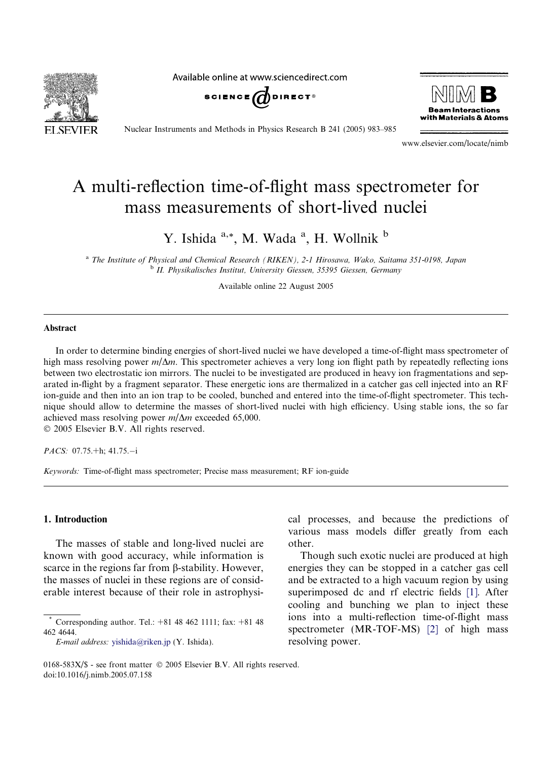

Available online at www.sciencedirect.com





Nuclear Instruments and Methods in Physics Research B 241 (2005) 983–985

www.elsevier.com/locate/nimb

# A multi-reflection time-of-flight mass spectrometer for mass measurements of short-lived nuclei

Y. Ishida <sup>a,\*</sup>, M. Wada <sup>a</sup>, H. Wollnik <sup>b</sup>

<sup>a</sup> The Institute of Physical and Chemical Research (RIKEN), 2-1 Hirosawa, Wako, Saitama 351-0198, Japan <sup>b</sup> II. Physikalisches Institut, University Giessen, 35395 Giessen, Germany

Available online 22 August 2005

### Abstract

In order to determine binding energies of short-lived nuclei we have developed a time-of-flight mass spectrometer of high mass resolving power  $m/\Delta m$ . This spectrometer achieves a very long ion flight path by repeatedly reflecting ions between two electrostatic ion mirrors. The nuclei to be investigated are produced in heavy ion fragmentations and separated in-flight by a fragment separator. These energetic ions are thermalized in a catcher gas cell injected into an RF ion-guide and then into an ion trap to be cooled, bunched and entered into the time-of-flight spectrometer. This technique should allow to determine the masses of short-lived nuclei with high efficiency. Using stable ions, the so far achieved mass resolving power  $m/\Delta m$  exceeded 65,000.

2005 Elsevier B.V. All rights reserved.

*PACS:* 07.75. $+h$ : 41.75. $-i$ 

Keywords: Time-of-flight mass spectrometer; Precise mass measurement; RF ion-guide

### 1. Introduction

The masses of stable and long-lived nuclei are known with good accuracy, while information is scarce in the regions far from  $\beta$ -stability. However, the masses of nuclei in these regions are of considerable interest because of their role in astrophysical processes, and because the predictions of various mass models differ greatly from each other.

Though such exotic nuclei are produced at high energies they can be stopped in a catcher gas cell and be extracted to a high vacuum region by using superimposed dc and rf electric fields [\[1\]](#page-2-0). After cooling and bunching we plan to inject these ions into a multi-reflection time-of-flight mass spectrometer (MR-TOF-MS) [\[2\]](#page-2-0) of high mass resolving power.

Corresponding author. Tel.: +81 48 462 1111; fax: +81 48 462 4644.

E-mail address: [yishida@riken.jp](mailto:yishida@riken.jp) (Y. Ishida).

<sup>0168-583</sup>X/\$ - see front matter  $\odot$  2005 Elsevier B.V. All rights reserved. doi:10.1016/j.nimb.2005.07.158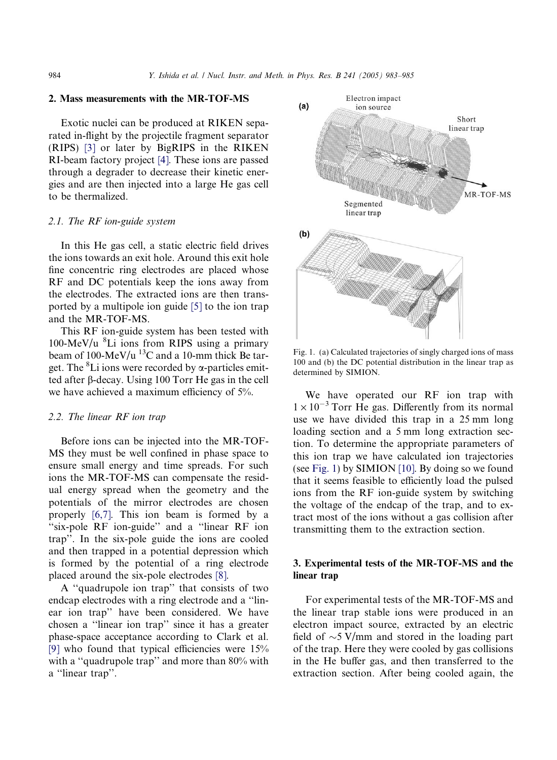#### 2. Mass measurements with the MR-TOF-MS

Exotic nuclei can be produced at RIKEN separated in-flight by the projectile fragment separator (RIPS) [\[3\]](#page-2-0) or later by BigRIPS in the RIKEN RI-beam factory project [\[4\].](#page-2-0) These ions are passed through a degrader to decrease their kinetic energies and are then injected into a large He gas cell to be thermalized.

#### 2.1. The RF ion-guide system

In this He gas cell, a static electric field drives the ions towards an exit hole. Around this exit hole fine concentric ring electrodes are placed whose RF and DC potentials keep the ions away from the electrodes. The extracted ions are then transported by a multipole ion guide [\[5\]](#page-2-0) to the ion trap and the MR-TOF-MS.

This RF ion-guide system has been tested with 100-MeV/u <sup>8</sup> Li ions from RIPS using a primary beam of 100-MeV/u  $^{13}$ C and a 10-mm thick Be target. The <sup>8</sup>Li ions were recorded by  $\alpha$ -particles emitted after b-decay. Using 100 Torr He gas in the cell we have achieved a maximum efficiency of 5%.

### 2.2. The linear RF ion trap

Before ions can be injected into the MR-TOF-MS they must be well confined in phase space to ensure small energy and time spreads. For such ions the MR-TOF-MS can compensate the residual energy spread when the geometry and the potentials of the mirror electrodes are chosen properly [\[6,7\]](#page-2-0). This ion beam is formed by a "six-pole RF ion-guide" and a "linear RF ion trap''. In the six-pole guide the ions are cooled and then trapped in a potential depression which is formed by the potential of a ring electrode placed around the six-pole electrodes [\[8\]](#page-2-0).

A ''quadrupole ion trap'' that consists of two endcap electrodes with a ring electrode and a ''linear ion trap'' have been considered. We have chosen a ''linear ion trap'' since it has a greater phase-space acceptance according to Clark et al. [\[9\]](#page-2-0) who found that typical efficiencies were 15% with a "quadrupole trap" and more than 80% with a ''linear trap''.



Fig. 1. (a) Calculated trajectories of singly charged ions of mass 100 and (b) the DC potential distribution in the linear trap as determined by SIMION.

We have operated our RF ion trap with  $1 \times 10^{-3}$  Torr He gas. Differently from its normal use we have divided this trap in a 25 mm long loading section and a 5 mm long extraction section. To determine the appropriate parameters of this ion trap we have calculated ion trajectories (see Fig. 1) by SIMION [\[10\].](#page-2-0) By doing so we found that it seems feasible to efficiently load the pulsed ions from the RF ion-guide system by switching the voltage of the endcap of the trap, and to extract most of the ions without a gas collision after transmitting them to the extraction section.

## 3. Experimental tests of the MR-TOF-MS and the linear trap

For experimental tests of the MR-TOF-MS and the linear trap stable ions were produced in an electron impact source, extracted by an electric field of  $\sim$ 5 V/mm and stored in the loading part of the trap. Here they were cooled by gas collisions in the He buffer gas, and then transferred to the extraction section. After being cooled again, the